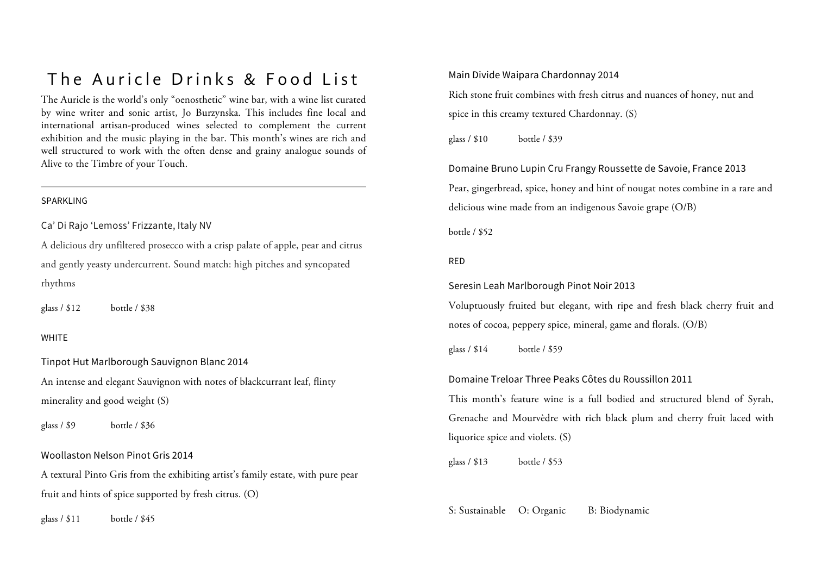## The Auricle Drinks & Food List

The Auricle is the world's only "oenosthetic" wine bar, with a wine list curated by wine writer and sonic artist, Jo Burzynska. This includes fine local and international artisan-produced wines selected to complement the current exhibition and the music playing in the bar. This month's wines are rich and well structured to work with the often dense and grainy analogue sounds of Alive to the Timbre of your Touch.

#### SPARKLING

Ca' Di Rajo 'Lemoss' Frizzante, Italy NV

A delicious dry unfiltered prosecco with a crisp palate of apple, pear and citrus and gently yeasty undercurrent. Sound match: high pitches and syncopated rhythms

glass / \$12 bottle / \$38

#### **WHITE**

Tinpot Hut Marlborough Sauvignon Blanc 2014 An intense and elegant Sauvignon with notes of blackcurrant leaf, flinty minerality and good weight (S)

glass / \$9 bottle / \$36

#### Woollaston Nelson Pinot Gris 2014

A textural Pinto Gris from the exhibiting artist's family estate, with pure pear fruit and hints of spice supported by fresh citrus. (O)

glass / \$11 bottle / \$45

Main Divide Waipara Chardonnay 2014

Rich stone fruit combines with fresh citrus and nuances of honey, nut and spice in this creamy textured Chardonnay. (S)

glass / \$10 bottle / \$39

Domaine Bruno Lupin Cru Frangy Roussette de Savoie, France 2013 Pear, gingerbread, spice, honey and hint of nougat notes combine in a rare and delicious wine made from an indigenous Savoie grape (O/B)

bottle / \$52

#### RED

Seresin Leah Marlborough Pinot Noir 2013

Voluptuously fruited but elegant, with ripe and fresh black cherry fruit and notes of cocoa, peppery spice, mineral, game and florals. (O/B)

glass / \$14 bottle / \$59

#### Domaine Treloar Three Peaks Côtes du Roussillon 2011

This month's feature wine is a full bodied and structured blend of Syrah, Grenache and Mourvèdre with rich black plum and cherry fruit laced with liquorice spice and violets. (S)

glass / \$13 bottle / \$53

S: Sustainable O: Organic B: Biodynamic